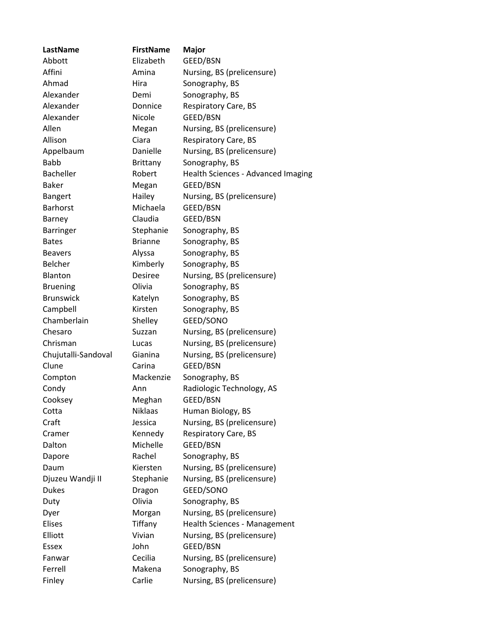| LastName            | <b>FirstName</b> | <b>Major</b>                       |
|---------------------|------------------|------------------------------------|
| Abbott              | Elizabeth        | GEED/BSN                           |
| Affini              | Amina            | Nursing, BS (prelicensure)         |
| Ahmad               | Hira             | Sonography, BS                     |
| Alexander           | Demi             | Sonography, BS                     |
| Alexander           | Donnice          | <b>Respiratory Care, BS</b>        |
| Alexander           | Nicole           | GEED/BSN                           |
| Allen               | Megan            | Nursing, BS (prelicensure)         |
| Allison             | Ciara            | Respiratory Care, BS               |
| Appelbaum           | Danielle         | Nursing, BS (prelicensure)         |
| <b>Babb</b>         | Brittany         | Sonography, BS                     |
| <b>Bacheller</b>    | Robert           | Health Sciences - Advanced Imaging |
| <b>Baker</b>        | Megan            | GEED/BSN                           |
| <b>Bangert</b>      | Hailey           | Nursing, BS (prelicensure)         |
| <b>Barhorst</b>     | Michaela         | GEED/BSN                           |
| Barney              | Claudia          | GEED/BSN                           |
| <b>Barringer</b>    | Stephanie        | Sonography, BS                     |
| <b>Bates</b>        | <b>Brianne</b>   | Sonography, BS                     |
| <b>Beavers</b>      | Alyssa           | Sonography, BS                     |
| Belcher             | Kimberly         | Sonography, BS                     |
| Blanton             | <b>Desiree</b>   | Nursing, BS (prelicensure)         |
| <b>Bruening</b>     | Olivia           | Sonography, BS                     |
| <b>Brunswick</b>    | Katelyn          | Sonography, BS                     |
| Campbell            | Kirsten          | Sonography, BS                     |
| Chamberlain         | Shelley          | GEED/SONO                          |
| Chesaro             | Suzzan           | Nursing, BS (prelicensure)         |
| Chrisman            | Lucas            | Nursing, BS (prelicensure)         |
| Chujutalli-Sandoval | Gianina          | Nursing, BS (prelicensure)         |
| Clune               | Carina           | GEED/BSN                           |
| Compton             | Mackenzie        | Sonography, BS                     |
| Condy               | Ann              | Radiologic Technology, AS          |
| Cooksey             | Meghan           | GEED/BSN                           |
| Cotta               | <b>Niklaas</b>   | Human Biology, BS                  |
| Craft               | Jessica          | Nursing, BS (prelicensure)         |
| Cramer              | Kennedy          | Respiratory Care, BS               |
| Dalton              | Michelle         | GEED/BSN                           |
| Dapore              | Rachel           | Sonography, BS                     |
| Daum                | Kiersten         | Nursing, BS (prelicensure)         |
| Djuzeu Wandji II    | Stephanie        | Nursing, BS (prelicensure)         |
| <b>Dukes</b>        | Dragon           | GEED/SONO                          |
| Duty                | Olivia           | Sonography, BS                     |
| Dyer                | Morgan           | Nursing, BS (prelicensure)         |
| Elises              | Tiffany          | Health Sciences - Management       |
| Elliott             | Vivian           | Nursing, BS (prelicensure)         |
| Essex               | John             | GEED/BSN                           |
| Fanwar              | Cecilia          | Nursing, BS (prelicensure)         |
| Ferrell             | Makena           | Sonography, BS                     |
| Finley              | Carlie           | Nursing, BS (prelicensure)         |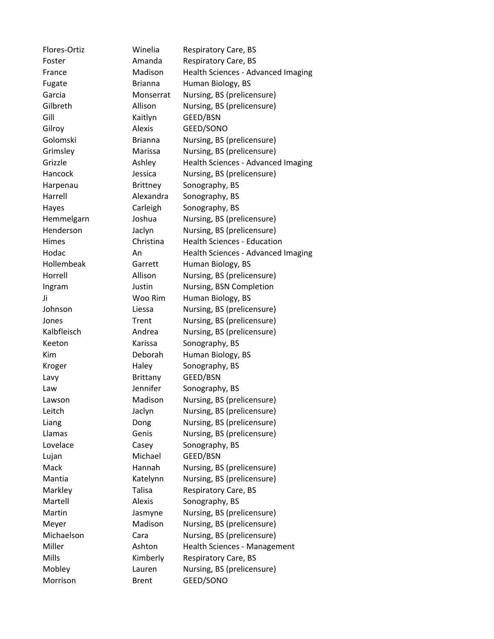Flores-Ortiz Winelia Respiratory Care, BS Foster **Amanda** Respiratory Care, BS France Madison Health Sciences - Advanced Imaging Fugate **Brianna** Human Biology, BS Garcia Monserrat Nursing, BS (prelicensure) Gilbreth **Allison** Nursing, BS (prelicensure) Gill Kaitlyn GEED/BSN Gilroy **Alexis** GEED/SONO Golomski Brianna Nursing, BS (prelicensure) Grimsley Marissa Nursing, BS (prelicensure) Grizzle Ashley Health Sciences - Advanced Imaging Hancock Jessica Nursing, BS (prelicensure) Harpenau Brittney Sonography, BS Harrell **Alexandra** Sonography, BS Hayes Carleigh Sonography, BS Hemmelgarn Joshua Nursing, BS (prelicensure) Henderson Jaclyn Nursing, BS (prelicensure) Himes Christina Health Sciences - Education Hodac **An** An Health Sciences - Advanced Imaging Hollembeak Garrett Human Biology, BS Horrell Allison Nursing, BS (prelicensure) Ingram Justin Nursing, BSN Completion Ji Woo Rim Human Biology, BS Johnson Liessa Nursing, BS (prelicensure) Jones Trent Nursing, BS (prelicensure) Kalbfleisch Andrea Nursing, BS (prelicensure) Keeton Karissa Sonography, BS Kim Deborah Human Biology, BS Kroger Haley Sonography, BS Lavy Brittany GEED/BSN Law Jennifer Sonography, BS Lawson Madison Nursing, BS (prelicensure) Leitch Jaclyn Nursing, BS (prelicensure) Liang Dong Nursing, BS (prelicensure) Llamas Genis Nursing, BS (prelicensure) Lovelace Casey Sonography, BS Lujan Michael GEED/BSN Mack Hannah Nursing, BS (prelicensure) Mantia Katelynn Nursing, BS (prelicensure) Markley **Talisa** Respiratory Care, BS Martell **Alexis** Sonography, BS Martin Jasmyne Nursing, BS (prelicensure) Meyer Madison Nursing, BS (prelicensure) Michaelson Cara Nursing, BS (prelicensure) Miller **Ashton** Health Sciences - Management Mills **Mills** Kimberly Respiratory Care, BS Mobley Lauren Nursing, BS (prelicensure) Morrison Brent GEED/SONO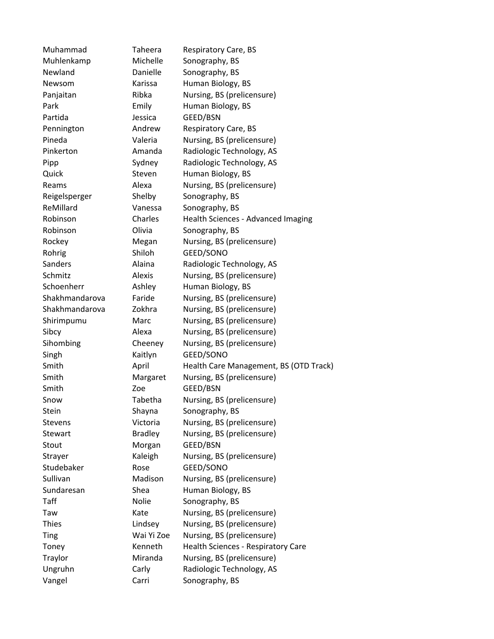Muhammad Taheera Respiratory Care, BS Muhlenkamp Michelle Sonography, BS Newland Danielle Sonography, BS Newsom Karissa Human Biology, BS Panjaitan Ribka Nursing, BS (prelicensure) Park **Emily** Human Biology, BS Partida Jessica GEED/BSN Pennington **Andrew** Respiratory Care, BS Pineda Valeria Nursing, BS (prelicensure) Pinkerton **Amanda** Radiologic Technology, AS Pipp Sydney Radiologic Technology, AS Quick Steven Human Biology, BS Reams **Alexa** Nursing, BS (prelicensure) Reigelsperger Shelby Sonography, BS ReMillard **Vanessa** Sonography, BS Robinson Charles Health Sciences - Advanced Imaging Robinson **Olivia** Sonography, BS Rockey Megan Nursing, BS (prelicensure) Rohrig Shiloh GEED/SONO Sanders **Alaina** Radiologic Technology, AS Schmitz **Alexis** Nursing, BS (prelicensure) Schoenherr **Ashley** Human Biology, BS Shakhmandarova Faride Nursing, BS (prelicensure) Shakhmandarova Zokhra Nursing, BS (prelicensure) Shirimpumu Marc Nursing, BS (prelicensure) Sibcy Alexa Nursing, BS (prelicensure) Sihombing Cheeney Nursing, BS (prelicensure) Singh Kaitlyn GEED/SONO Smith April Health Care Management, BS (OTD Track) Smith Margaret Nursing, BS (prelicensure) Smith Zoe GEED/BSN Snow Tabetha Nursing, BS (prelicensure) Stein Shayna Sonography, BS Stevens **Victoria** Nursing, BS (prelicensure) Stewart Bradley Nursing, BS (prelicensure) Stout Morgan GEED/BSN Strayer Kaleigh Nursing, BS (prelicensure) Studebaker Rose GEED/SONO Sullivan Madison Nursing, BS (prelicensure) Sundaresan Shea Human Biology, BS Taff Nolie Sonography, BS Taw Kate Nursing, BS (prelicensure) Thies Lindsey Nursing, BS (prelicensure) Ting Wai Yi Zoe Nursing, BS (prelicensure) Toney Kenneth Health Sciences - Respiratory Care Traylor Miranda Nursing, BS (prelicensure) Ungruhn Carly Radiologic Technology, AS Vangel Carri Sonography, BS